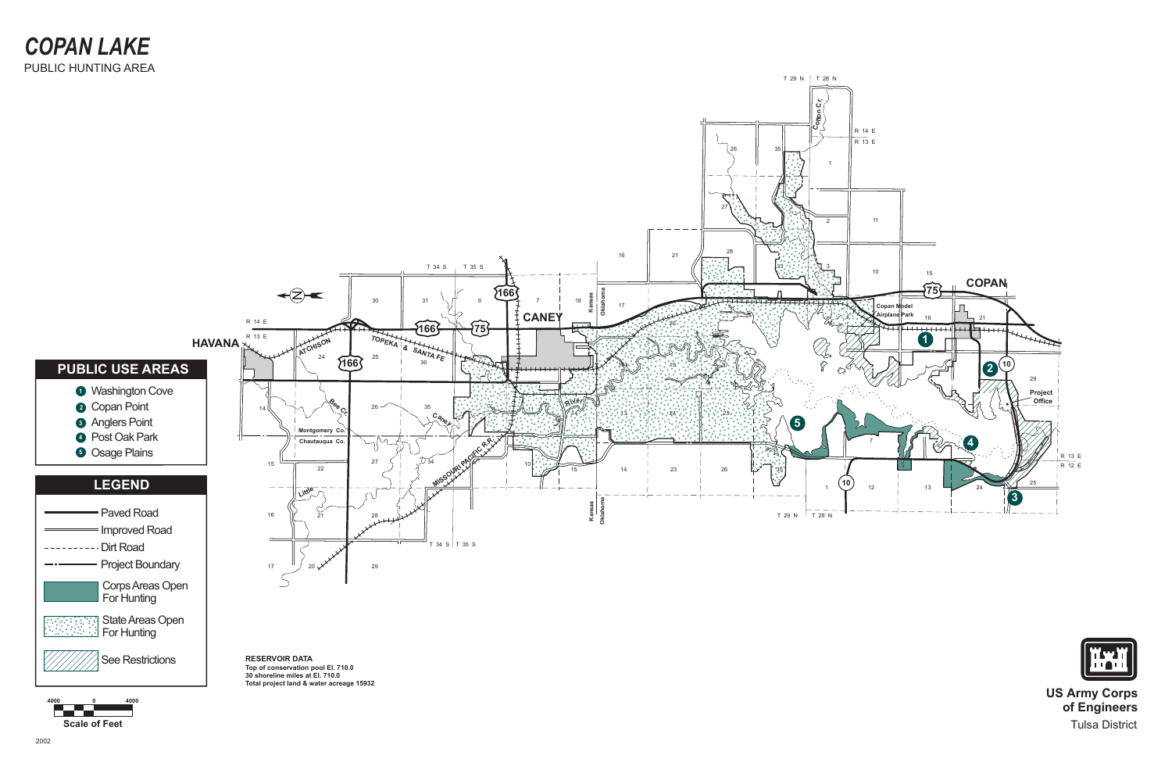

See Restrictions

State Areas Open For Hunting



**US Army Corps of Engineers** Tulsa District

**Scale of Feet**

**4000 0 4000**

**RESERVOIR DATA Top of conservation pool El. 710.0 30 shoreline miles at El. 710.0 Total project land & water acreage 15932**